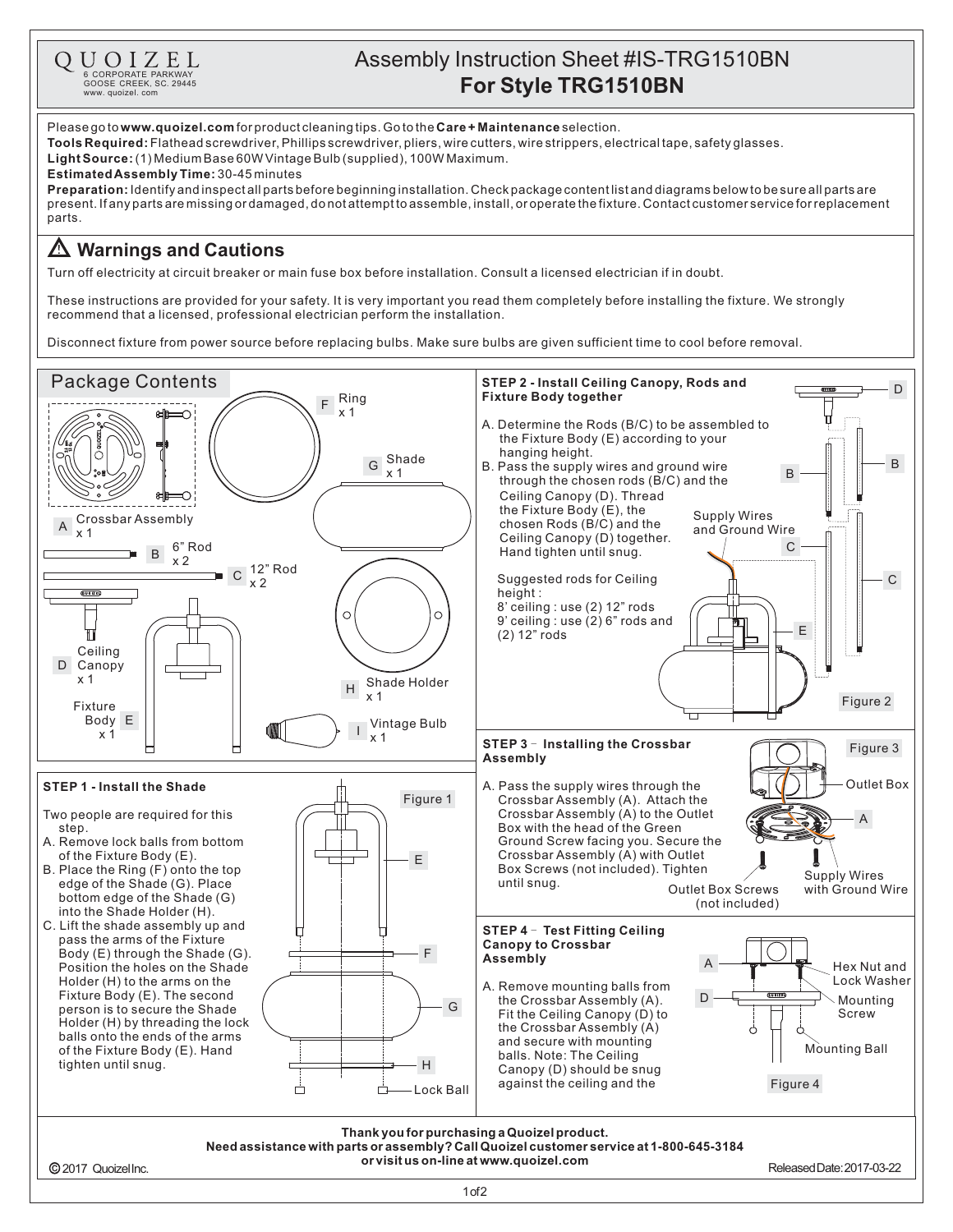

## Assembly Instruction Sheet #IS-TRG1510BN **For Style TRG1510BN**

Please go to **www.quoizel.com** for product cleaning tips. Go to the **Care + Maintenance** selection.

**Tools Required:** Flathead screwdriver, Phillips screwdriver, pliers, wire cutters, wire strippers, electrical tape, safety glasses.

 $\textsf{Light Source:}\left(1\right)$  Medium Base 60W Vintage Bulb (supplied), 100W Maximum.

## **Estimated Assembly Time:** 30-45 minutes

**Preparation:** Identify and inspectall parts before beginning installation. Check package content list and diagrams below to be sure all parts are present.Ifanypartsaremissingordamaged,donotattempttoassemble,install,oroperatethefixture.Contactcustomerserviceforreplacement parts.

## **Warnings and Cautions**

Turn off electricity at circuit breaker or main fuse box before installation. Consult a licensed electrician if in doubt.

These instructions are provided for your safety. It is very important you read them completely before installing the fixture. We strongly recommend that a licensed, professional electrician perform the installation.

Disconnect fixture from power source before replacing bulbs. Make sure bulbs are given sufficient time to cool before removal.